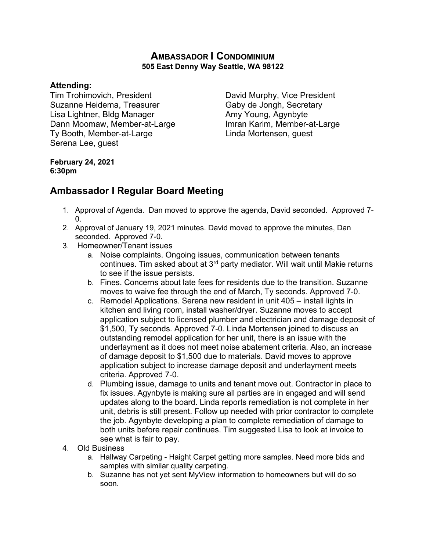## **AMBASSADOR I CONDOMINIUM 505 East Denny Way Seattle, WA 98122**

## **Attending:**

Tim Trohimovich, President **David Murphy, Vice President** Suzanne Heidema, Treasurer Gaby de Jongh, Secretary Lisa Lightner, Bldg Manager **Amy Young, Agynbyte** Dann Moomaw, Member-at-Large Imran Karim, Member-at-Large Ty Booth, Member-at-Large Linda Mortensen, guest Serena Lee, guest

## **February 24, 2021 6:30pm**

## **Ambassador I Regular Board Meeting**

- 1. Approval of Agenda. Dan moved to approve the agenda, David seconded. Approved 7- 0.
- 2. Approval of January 19, 2021 minutes. David moved to approve the minutes, Dan seconded. Approved 7-0.
- 3. Homeowner/Tenant issues
	- a. Noise complaints. Ongoing issues, communication between tenants continues. Tim asked about at 3<sup>rd</sup> party mediator. Will wait until Makie returns to see if the issue persists.
	- b. Fines. Concerns about late fees for residents due to the transition. Suzanne moves to waive fee through the end of March, Ty seconds. Approved 7-0.
	- c. Remodel Applications. Serena new resident in unit 405 install lights in kitchen and living room, install washer/dryer. Suzanne moves to accept application subject to licensed plumber and electrician and damage deposit of \$1,500, Ty seconds. Approved 7-0. Linda Mortensen joined to discuss an outstanding remodel application for her unit, there is an issue with the underlayment as it does not meet noise abatement criteria. Also, an increase of damage deposit to \$1,500 due to materials. David moves to approve application subject to increase damage deposit and underlayment meets criteria. Approved 7-0.
	- d. Plumbing issue, damage to units and tenant move out. Contractor in place to fix issues. Agynbyte is making sure all parties are in engaged and will send updates along to the board. Linda reports remediation is not complete in her unit, debris is still present. Follow up needed with prior contractor to complete the job. Agynbyte developing a plan to complete remediation of damage to both units before repair continues. Tim suggested Lisa to look at invoice to see what is fair to pay.
- 4. Old Business
	- a. Hallway Carpeting Haight Carpet getting more samples. Need more bids and samples with similar quality carpeting.
	- b. Suzanne has not yet sent MyView information to homeowners but will do so soon.